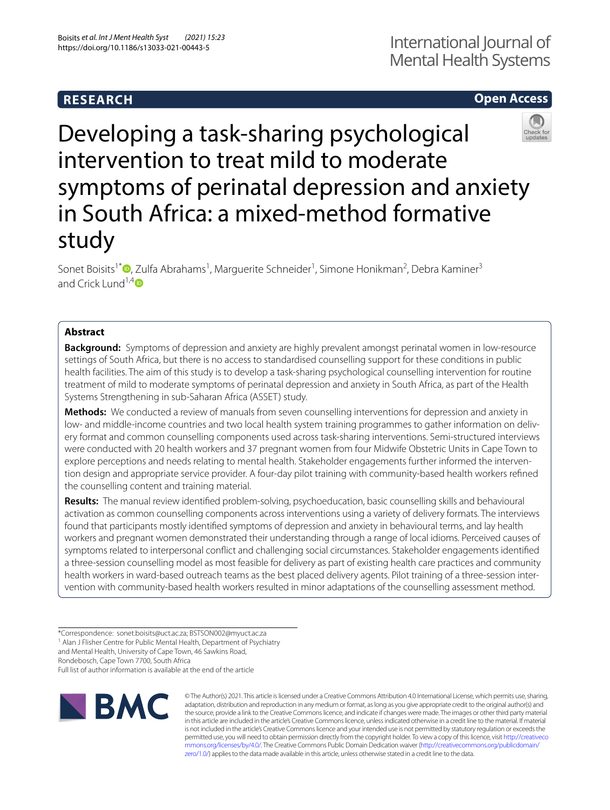## **RESEARCH**

# International Journal of Mental Health Systems

## **Open Access**



Developing a task-sharing psychological intervention to treat mild to moderate symptoms of perinatal depression and anxiety in South Africa: a mixed-method formative study

Sonet Boisits<sup>1\*</sup><sup>®</sup>[,](http://orcid.org/0000-0003-1848-6099) Zulfa Abrahams<sup>1</sup>, Marguerite Schneider<sup>1</sup>, Simone Honikman<sup>2</sup>, Debra Kaminer<sup>3</sup> and Crick Lund<sup>1,[4](https://orcid.org/0000-0002-5159-8220)</sup> $\bullet$ 

## **Abstract**

**Background:** Symptoms of depression and anxiety are highly prevalent amongst perinatal women in low-resource settings of South Africa, but there is no access to standardised counselling support for these conditions in public health facilities. The aim of this study is to develop a task-sharing psychological counselling intervention for routine treatment of mild to moderate symptoms of perinatal depression and anxiety in South Africa, as part of the Health Systems Strengthening in sub-Saharan Africa (ASSET) study.

**Methods:** We conducted a review of manuals from seven counselling interventions for depression and anxiety in low- and middle-income countries and two local health system training programmes to gather information on delivery format and common counselling components used across task-sharing interventions. Semi-structured interviews were conducted with 20 health workers and 37 pregnant women from four Midwife Obstetric Units in Cape Town to explore perceptions and needs relating to mental health. Stakeholder engagements further informed the intervention design and appropriate service provider. A four-day pilot training with community-based health workers refned the counselling content and training material.

**Results:** The manual review identifed problem-solving, psychoeducation, basic counselling skills and behavioural activation as common counselling components across interventions using a variety of delivery formats. The interviews found that participants mostly identifed symptoms of depression and anxiety in behavioural terms, and lay health workers and pregnant women demonstrated their understanding through a range of local idioms. Perceived causes of symptoms related to interpersonal confict and challenging social circumstances. Stakeholder engagements identifed a three-session counselling model as most feasible for delivery as part of existing health care practices and community health workers in ward-based outreach teams as the best placed delivery agents. Pilot training of a three-session intervention with community-based health workers resulted in minor adaptations of the counselling assessment method.

\*Correspondence: sonet.boisits@uct.ac.za; BSTSON002@myuct.ac.za <sup>1</sup> Alan J Flisher Centre for Public Mental Health, Department of Psychiatry and Mental Health, University of Cape Town, 46 Sawkins Road, Rondebosch, Cape Town 7700, South Africa

Full list of author information is available at the end of the article



© The Author(s) 2021. This article is licensed under a Creative Commons Attribution 4.0 International License, which permits use, sharing, adaptation, distribution and reproduction in any medium or format, as long as you give appropriate credit to the original author(s) and the source, provide a link to the Creative Commons licence, and indicate if changes were made. The images or other third party material in this article are included in the article's Creative Commons licence, unless indicated otherwise in a credit line to the material. If material is not included in the article's Creative Commons licence and your intended use is not permitted by statutory regulation or exceeds the permitted use, you will need to obtain permission directly from the copyright holder. To view a copy of this licence, visit [http://creativeco](http://creativecommons.org/licenses/by/4.0/) [mmons.org/licenses/by/4.0/.](http://creativecommons.org/licenses/by/4.0/) The Creative Commons Public Domain Dedication waiver ([http://creativecommons.org/publicdomain/](http://creativecommons.org/publicdomain/zero/1.0/) [zero/1.0/\)](http://creativecommons.org/publicdomain/zero/1.0/) applies to the data made available in this article, unless otherwise stated in a credit line to the data.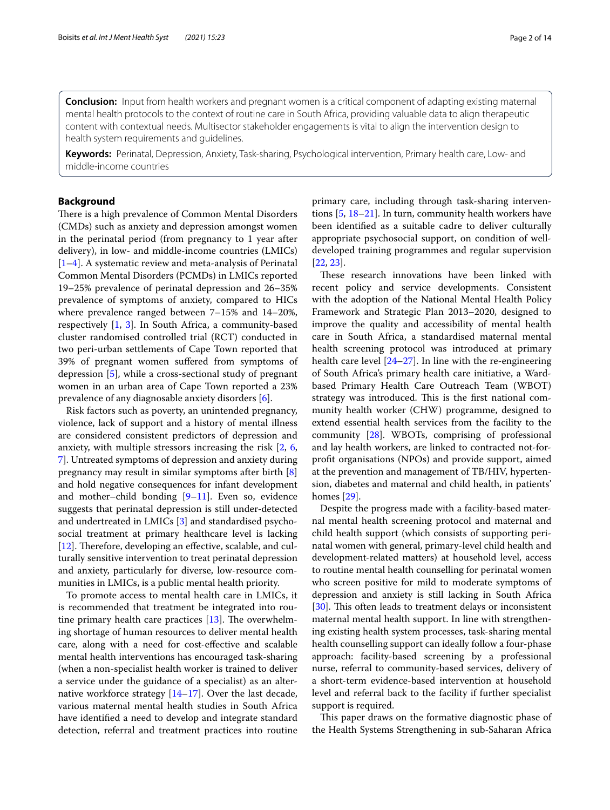**Conclusion:** Input from health workers and pregnant women is a critical component of adapting existing maternal mental health protocols to the context of routine care in South Africa, providing valuable data to align therapeutic content with contextual needs. Multisector stakeholder engagements is vital to align the intervention design to health system requirements and guidelines.

**Keywords:** Perinatal, Depression, Anxiety, Task-sharing, Psychological intervention, Primary health care, Low- and middle-income countries

## **Background**

There is a high prevalence of Common Mental Disorders (CMDs) such as anxiety and depression amongst women in the perinatal period (from pregnancy to 1 year after delivery), in low- and middle-income countries (LMICs) [[1–](#page-12-0)[4\]](#page-12-1). A systematic review and meta-analysis of Perinatal Common Mental Disorders (PCMDs) in LMICs reported 19–25% prevalence of perinatal depression and 26–35% prevalence of symptoms of anxiety, compared to HICs where prevalence ranged between 7–15% and 14–20%, respectively [[1,](#page-12-0) [3\]](#page-12-2). In South Africa, a community-based cluster randomised controlled trial (RCT) conducted in two peri-urban settlements of Cape Town reported that 39% of pregnant women sufered from symptoms of depression [\[5\]](#page-12-3), while a cross-sectional study of pregnant women in an urban area of Cape Town reported a 23% prevalence of any diagnosable anxiety disorders [[6\]](#page-12-4).

Risk factors such as poverty, an unintended pregnancy, violence, lack of support and a history of mental illness are considered consistent predictors of depression and anxiety, with multiple stressors increasing the risk [[2,](#page-12-5) [6](#page-12-4), [7\]](#page-12-6). Untreated symptoms of depression and anxiety during pregnancy may result in similar symptoms after birth [\[8](#page-12-7)] and hold negative consequences for infant development and mother–child bonding [\[9](#page-12-8)[–11](#page-12-9)]. Even so, evidence suggests that perinatal depression is still under-detected and undertreated in LMICs [\[3](#page-12-2)] and standardised psychosocial treatment at primary healthcare level is lacking [[12\]](#page-12-10). Therefore, developing an effective, scalable, and culturally sensitive intervention to treat perinatal depression and anxiety, particularly for diverse, low-resource communities in LMICs, is a public mental health priority.

To promote access to mental health care in LMICs, it is recommended that treatment be integrated into routine primary health care practices  $[13]$ . The overwhelming shortage of human resources to deliver mental health care, along with a need for cost-efective and scalable mental health interventions has encouraged task-sharing (when a non-specialist health worker is trained to deliver a service under the guidance of a specialist) as an alternative workforce strategy  $[14–17]$  $[14–17]$  $[14–17]$  $[14–17]$ . Over the last decade, various maternal mental health studies in South Africa have identifed a need to develop and integrate standard detection, referral and treatment practices into routine primary care, including through task-sharing interventions [[5,](#page-12-3) [18](#page-12-14)–[21\]](#page-12-15). In turn, community health workers have been identifed as a suitable cadre to deliver culturally appropriate psychosocial support, on condition of welldeveloped training programmes and regular supervision [[22,](#page-12-16) [23](#page-12-17)].

These research innovations have been linked with recent policy and service developments. Consistent with the adoption of the National Mental Health Policy Framework and Strategic Plan 2013–2020, designed to improve the quality and accessibility of mental health care in South Africa, a standardised maternal mental health screening protocol was introduced at primary health care level [[24–](#page-12-18)[27](#page-12-19)]. In line with the re-engineering of South Africa's primary health care initiative, a Wardbased Primary Health Care Outreach Team (WBOT) strategy was introduced. This is the first national community health worker (CHW) programme, designed to extend essential health services from the facility to the community [[28\]](#page-12-20). WBOTs, comprising of professional and lay health workers, are linked to contracted not-forproft organisations (NPOs) and provide support, aimed at the prevention and management of TB/HIV, hypertension, diabetes and maternal and child health, in patients' homes [\[29](#page-13-0)].

Despite the progress made with a facility-based maternal mental health screening protocol and maternal and child health support (which consists of supporting perinatal women with general, primary-level child health and development-related matters) at household level, access to routine mental health counselling for perinatal women who screen positive for mild to moderate symptoms of depression and anxiety is still lacking in South Africa [[30\]](#page-13-1). This often leads to treatment delays or inconsistent maternal mental health support. In line with strengthening existing health system processes, task-sharing mental health counselling support can ideally follow a four-phase approach: facility-based screening by a professional nurse, referral to community-based services, delivery of a short-term evidence-based intervention at household level and referral back to the facility if further specialist support is required.

This paper draws on the formative diagnostic phase of the Health Systems Strengthening in sub-Saharan Africa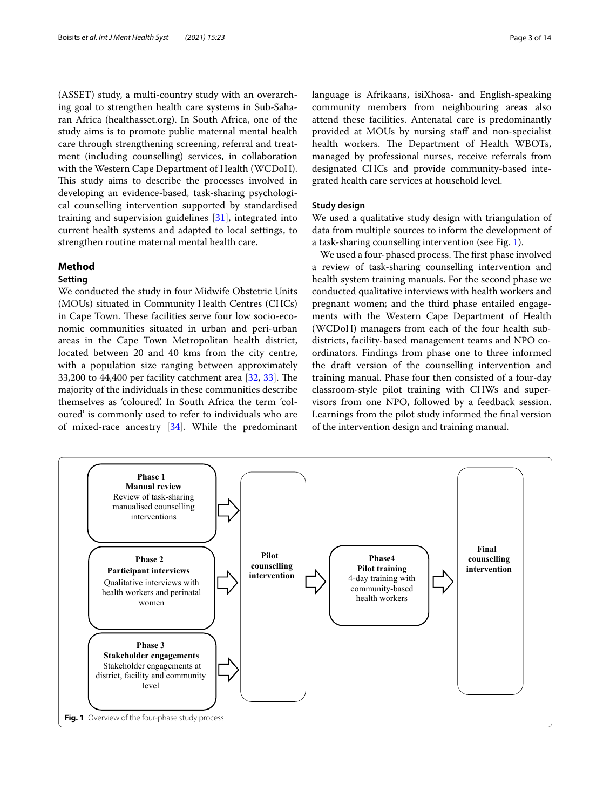(ASSET) study, a multi-country study with an overarching goal to strengthen health care systems in Sub-Saharan Africa (healthasset.org). In South Africa, one of the study aims is to promote public maternal mental health care through strengthening screening, referral and treatment (including counselling) services, in collaboration with the Western Cape Department of Health (WCDoH). This study aims to describe the processes involved in developing an evidence-based, task-sharing psychological counselling intervention supported by standardised training and supervision guidelines [\[31](#page-13-2)], integrated into current health systems and adapted to local settings, to strengthen routine maternal mental health care.

## **Method**

## **Setting**

We conducted the study in four Midwife Obstetric Units (MOUs) situated in Community Health Centres (CHCs) in Cape Town. These facilities serve four low socio-economic communities situated in urban and peri-urban areas in the Cape Town Metropolitan health district, located between 20 and 40 kms from the city centre, with a population size ranging between approximately [33](#page-13-4),200 to 44,400 per facility catchment area  $[32, 33]$  $[32, 33]$ . The majority of the individuals in these communities describe themselves as 'coloured'. In South Africa the term 'coloured' is commonly used to refer to individuals who are of mixed-race ancestry [\[34](#page-13-5)]. While the predominant language is Afrikaans, isiXhosa- and English-speaking community members from neighbouring areas also attend these facilities. Antenatal care is predominantly provided at MOUs by nursing staff and non-specialist health workers. The Department of Health WBOTs, managed by professional nurses, receive referrals from designated CHCs and provide community-based integrated health care services at household level.

### **Study design**

We used a qualitative study design with triangulation of data from multiple sources to inform the development of a task-sharing counselling intervention (see Fig. [1](#page-2-0)).

We used a four-phased process. The first phase involved a review of task-sharing counselling intervention and health system training manuals. For the second phase we conducted qualitative interviews with health workers and pregnant women; and the third phase entailed engagements with the Western Cape Department of Health (WCDoH) managers from each of the four health subdistricts, facility-based management teams and NPO coordinators. Findings from phase one to three informed the draft version of the counselling intervention and training manual. Phase four then consisted of a four-day classroom-style pilot training with CHWs and supervisors from one NPO, followed by a feedback session. Learnings from the pilot study informed the fnal version of the intervention design and training manual.

<span id="page-2-0"></span>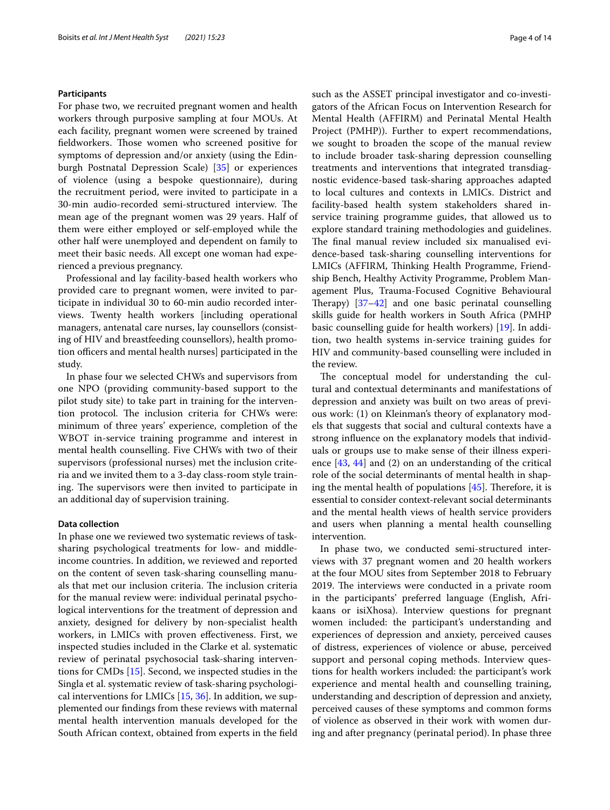### **Participants**

For phase two, we recruited pregnant women and health workers through purposive sampling at four MOUs. At each facility, pregnant women were screened by trained fieldworkers. Those women who screened positive for symptoms of depression and/or anxiety (using the Edinburgh Postnatal Depression Scale) [\[35](#page-13-6)] or experiences of violence (using a bespoke questionnaire), during the recruitment period, were invited to participate in a 30-min audio-recorded semi-structured interview. The mean age of the pregnant women was 29 years. Half of them were either employed or self-employed while the other half were unemployed and dependent on family to meet their basic needs. All except one woman had experienced a previous pregnancy.

Professional and lay facility-based health workers who provided care to pregnant women, were invited to participate in individual 30 to 60-min audio recorded interviews. Twenty health workers [including operational managers, antenatal care nurses, lay counsellors (consisting of HIV and breastfeeding counsellors), health promotion officers and mental health nurses] participated in the study.

In phase four we selected CHWs and supervisors from one NPO (providing community-based support to the pilot study site) to take part in training for the intervention protocol. The inclusion criteria for CHWs were: minimum of three years' experience, completion of the WBOT in-service training programme and interest in mental health counselling. Five CHWs with two of their supervisors (professional nurses) met the inclusion criteria and we invited them to a 3-day class-room style training. The supervisors were then invited to participate in an additional day of supervision training.

## **Data collection**

In phase one we reviewed two systematic reviews of tasksharing psychological treatments for low- and middleincome countries. In addition, we reviewed and reported on the content of seven task-sharing counselling manuals that met our inclusion criteria. The inclusion criteria for the manual review were: individual perinatal psychological interventions for the treatment of depression and anxiety, designed for delivery by non-specialist health workers, in LMICs with proven efectiveness. First, we inspected studies included in the Clarke et al. systematic review of perinatal psychosocial task-sharing interventions for CMDs [[15\]](#page-12-21). Second, we inspected studies in the Singla et al. systematic review of task-sharing psychological interventions for LMICs [\[15](#page-12-21), [36\]](#page-13-7). In addition, we supplemented our fndings from these reviews with maternal mental health intervention manuals developed for the South African context, obtained from experts in the feld such as the ASSET principal investigator and co-investigators of the African Focus on Intervention Research for Mental Health (AFFIRM) and Perinatal Mental Health Project (PMHP)). Further to expert recommendations, we sought to broaden the scope of the manual review to include broader task-sharing depression counselling treatments and interventions that integrated transdiagnostic evidence-based task-sharing approaches adapted to local cultures and contexts in LMICs. District and facility-based health system stakeholders shared inservice training programme guides, that allowed us to explore standard training methodologies and guidelines. The final manual review included six manualised evidence-based task-sharing counselling interventions for LMICs (AFFIRM, Thinking Health Programme, Friendship Bench, Healthy Activity Programme, Problem Management Plus, Trauma-Focused Cognitive Behavioural Therapy)  $[37-42]$  $[37-42]$  $[37-42]$  and one basic perinatal counselling skills guide for health workers in South Africa (PMHP basic counselling guide for health workers) [[19](#page-12-22)]. In addition, two health systems in-service training guides for HIV and community-based counselling were included in the review.

The conceptual model for understanding the cultural and contextual determinants and manifestations of depression and anxiety was built on two areas of previous work: (1) on Kleinman's theory of explanatory models that suggests that social and cultural contexts have a strong infuence on the explanatory models that individuals or groups use to make sense of their illness experience [[43,](#page-13-10) [44\]](#page-13-11) and (2) on an understanding of the critical role of the social determinants of mental health in shaping the mental health of populations  $[45]$  $[45]$ . Therefore, it is essential to consider context-relevant social determinants and the mental health views of health service providers and users when planning a mental health counselling intervention.

In phase two, we conducted semi-structured interviews with 37 pregnant women and 20 health workers at the four MOU sites from September 2018 to February 2019. The interviews were conducted in a private room in the participants' preferred language (English, Afrikaans or isiXhosa). Interview questions for pregnant women included: the participant's understanding and experiences of depression and anxiety, perceived causes of distress, experiences of violence or abuse, perceived support and personal coping methods. Interview questions for health workers included: the participant's work experience and mental health and counselling training, understanding and description of depression and anxiety, perceived causes of these symptoms and common forms of violence as observed in their work with women during and after pregnancy (perinatal period). In phase three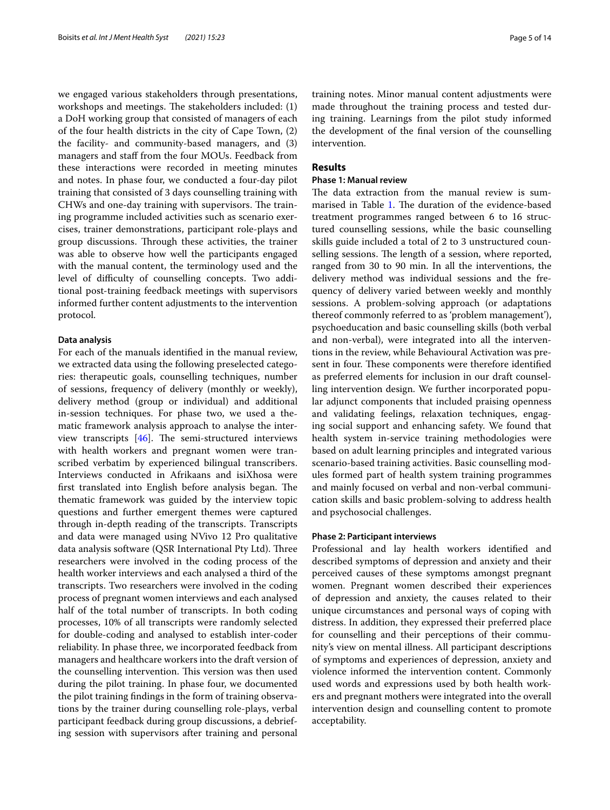we engaged various stakeholders through presentations, workshops and meetings. The stakeholders included:  $(1)$ a DoH working group that consisted of managers of each of the four health districts in the city of Cape Town, (2) the facility- and community-based managers, and (3) managers and staf from the four MOUs. Feedback from these interactions were recorded in meeting minutes and notes. In phase four, we conducted a four-day pilot training that consisted of 3 days counselling training with CHWs and one-day training with supervisors. The training programme included activities such as scenario exercises, trainer demonstrations, participant role-plays and group discussions. Through these activities, the trainer was able to observe how well the participants engaged with the manual content, the terminology used and the level of difficulty of counselling concepts. Two additional post-training feedback meetings with supervisors informed further content adjustments to the intervention protocol.

#### **Data analysis**

For each of the manuals identifed in the manual review, we extracted data using the following preselected categories: therapeutic goals, counselling techniques, number of sessions, frequency of delivery (monthly or weekly), delivery method (group or individual) and additional in-session techniques. For phase two, we used a thematic framework analysis approach to analyse the interview transcripts  $[46]$  $[46]$ . The semi-structured interviews with health workers and pregnant women were transcribed verbatim by experienced bilingual transcribers. Interviews conducted in Afrikaans and isiXhosa were first translated into English before analysis began. The thematic framework was guided by the interview topic questions and further emergent themes were captured through in-depth reading of the transcripts. Transcripts and data were managed using NVivo 12 Pro qualitative data analysis software (QSR International Pty Ltd). Three researchers were involved in the coding process of the health worker interviews and each analysed a third of the transcripts. Two researchers were involved in the coding process of pregnant women interviews and each analysed half of the total number of transcripts. In both coding processes, 10% of all transcripts were randomly selected for double-coding and analysed to establish inter-coder reliability. In phase three, we incorporated feedback from managers and healthcare workers into the draft version of the counselling intervention. This version was then used during the pilot training. In phase four, we documented the pilot training fndings in the form of training observations by the trainer during counselling role-plays, verbal participant feedback during group discussions, a debriefing session with supervisors after training and personal training notes. Minor manual content adjustments were made throughout the training process and tested during training. Learnings from the pilot study informed the development of the fnal version of the counselling intervention.

## **Results**

## **Phase 1: Manual review**

The data extraction from the manual review is sum-marised in Table [1.](#page-5-0) The duration of the evidence-based treatment programmes ranged between 6 to 16 structured counselling sessions, while the basic counselling skills guide included a total of 2 to 3 unstructured counselling sessions. The length of a session, where reported, ranged from 30 to 90 min. In all the interventions, the delivery method was individual sessions and the frequency of delivery varied between weekly and monthly sessions. A problem-solving approach (or adaptations thereof commonly referred to as 'problem management'), psychoeducation and basic counselling skills (both verbal and non-verbal), were integrated into all the interventions in the review, while Behavioural Activation was present in four. These components were therefore identified as preferred elements for inclusion in our draft counselling intervention design. We further incorporated popular adjunct components that included praising openness and validating feelings, relaxation techniques, engaging social support and enhancing safety. We found that health system in-service training methodologies were based on adult learning principles and integrated various scenario-based training activities. Basic counselling modules formed part of health system training programmes and mainly focused on verbal and non-verbal communication skills and basic problem-solving to address health and psychosocial challenges.

#### **Phase 2: Participant interviews**

Professional and lay health workers identifed and described symptoms of depression and anxiety and their perceived causes of these symptoms amongst pregnant women. Pregnant women described their experiences of depression and anxiety, the causes related to their unique circumstances and personal ways of coping with distress. In addition, they expressed their preferred place for counselling and their perceptions of their community's view on mental illness. All participant descriptions of symptoms and experiences of depression, anxiety and violence informed the intervention content. Commonly used words and expressions used by both health workers and pregnant mothers were integrated into the overall intervention design and counselling content to promote acceptability.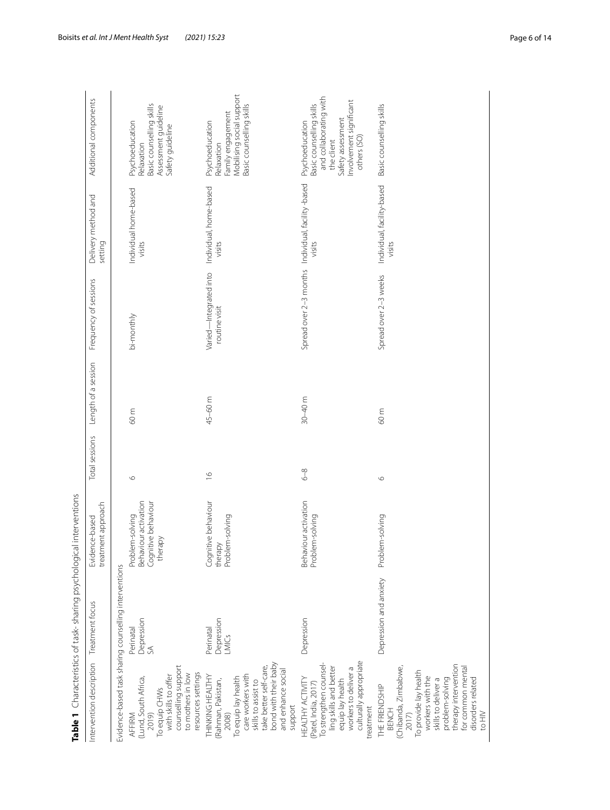|                                                                                                                                                                                                                                    | Table 1 Characteristics of task-sharing psychological interventions |                                                                           |                         |                     |                                                    |                                      |                                                                                                                                                    |
|------------------------------------------------------------------------------------------------------------------------------------------------------------------------------------------------------------------------------------|---------------------------------------------------------------------|---------------------------------------------------------------------------|-------------------------|---------------------|----------------------------------------------------|--------------------------------------|----------------------------------------------------------------------------------------------------------------------------------------------------|
| ntervention description                                                                                                                                                                                                            | Treatment focus                                                     | treatment approach<br>Evidence-based                                      | Total sessions          | Length of a session | Frequency of sessions                              | Delivery method and<br>setting       | Additional components                                                                                                                              |
|                                                                                                                                                                                                                                    | Evidence-based task sharing counselling interventions               |                                                                           |                         |                     |                                                    |                                      |                                                                                                                                                    |
| counselling support<br>To equip CHWs<br>with skills to offer<br>to mothers in low<br>(Lund, South Africa,<br>2019)<br>AFFIRM                                                                                                       | Depression<br>SA<br>Perinatal                                       | Behaviour activation<br>Cognitive behaviour<br>Problem-solving<br>therapy | $\circ$                 | 60 m                | bi-monthly                                         | Individual home-based<br>visits      | Basic counselling skills<br>Assessment guideline<br>Psychoeducation<br>Safety guideline<br>Relaxation                                              |
| bond with their baby<br>take better self-care,<br>and enhance social<br>resources settings<br>care workers with<br>THINKING HEALTHY<br>To equip lay health<br>(Rahman, Pakistan,<br>skills to assist to<br>2008)                   | Depression<br>Perinatal<br>LMICs                                    | Cognitive behaviour<br>Problem-solving<br>therapy                         | $\frac{\infty}{\infty}$ | 45-60 m             | Varied-Integrated into<br>routine visit            | Individual, home-based<br>visits     | Mobilising social support<br>Basic counselling skills<br>Family engagement<br>Psychoeducation<br>Relaxation                                        |
| culturally appropriate<br>To strengthen counsel<br>ling skills and better<br>workers to deliver a<br>HEALTHY ACTIVITY<br>equip lay health<br>(Patel, India, 2017)<br>support<br>treatment                                          | Depression                                                          | Behaviour activation<br>Problem-solving                                   | $6-8$                   | $30 - 40$ m         | Spread over 2-3 months Individual, facility -based | visits                               | and collaborating with<br>Involvement significant<br>Basic counselling skills<br>Safety assessment<br>Psychoeducation<br>others (SO)<br>the client |
| therapy intervention<br>(Chibanda, Zimbabwe,<br>for common mental<br>To provide lay health<br>workers with the<br>disorders related<br>problem-solving<br>skills to deliver a<br>THE FRIENDSHIP<br><b>BENCH</b><br>to HIV<br>2017) | Depression and anxiety                                              | Problem-solving                                                           | $\circ$                 | 60 m                | Spread over 2-3 weeks                              | Individual, facility-based<br>visits | Basic counselling skills                                                                                                                           |

<span id="page-5-0"></span>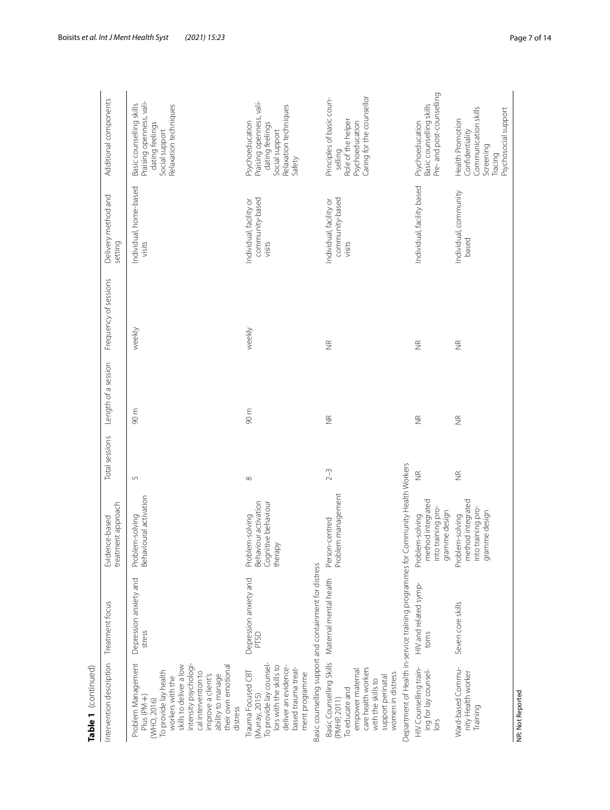| Table 1 (continued)                                                                                                                                                                                                                                    |                                                                                                                   |                                                                             |                    |                     |                       |                                                      |                                                                                                                     |
|--------------------------------------------------------------------------------------------------------------------------------------------------------------------------------------------------------------------------------------------------------|-------------------------------------------------------------------------------------------------------------------|-----------------------------------------------------------------------------|--------------------|---------------------|-----------------------|------------------------------------------------------|---------------------------------------------------------------------------------------------------------------------|
| Intervention description                                                                                                                                                                                                                               | Treatment focus                                                                                                   | treatment approach<br>Evidence-based                                        | Total sessions     | Length of a session | Frequency of sessions | Delivery method and<br>setting                       | Additional components                                                                                               |
| Problem Management<br>intensity psychologi-<br>skills to deliver a low<br>their own emotional<br>To provide lay health<br>cal intervention to<br>ability to manage<br>improve a client's<br>workers with the<br>Plus (PM +)<br>(WHO, 2016)<br>distress | Depression anxiety and<br>stress                                                                                  | Behavioural activation<br>Problem-solving                                   | $\mathsf{L}\cap$   | 90 m                | weekly                | Individual, home-based<br>visits                     | Praising openness, vali-<br>Basic counselling skills<br>Relaxation techniques<br>dating feelings<br>Social support  |
| To provide lay counsel-<br>lors with the skills to<br>deliver an evidence-<br>based trauma treat-<br>Trauma Focused CBT<br>ment programme<br>(Murray, 2015)                                                                                            | Basic counselling support and containment for distress<br>Depression anxiety and<br><b>PTSD</b>                   | Behaviour activation<br>Cognitive behaviour<br>Problem-solving<br>therapy   | ${}^{\infty}$      | $90 \text{ m}$      | weekly                | community-based<br>Individual, facility or<br>visits | Praising openness, vali-<br>Relaxation techniques<br>Psychoeducation<br>dating feelings<br>Social support<br>Safety |
| care health workers<br>empower maternal<br>women in distress<br>support perinatal<br>with the skills to<br>To educate and<br>(PMHP, 2011)                                                                                                              | Basic Counselling Skills Maternal mental health                                                                   | Problem management<br>Person-centred                                        | $2 - 3$            | $\widetilde{\Xi}$   | $\frac{\alpha}{2}$    | community-based<br>Individual, facility or<br>visits | Caring for the counsellor<br>Principles of basic coun-<br>Role of the helper<br>Psychoeducation<br>selling          |
| HIV Counselling train-<br>ing for lay counsel-<br>lors                                                                                                                                                                                                 | Department of Health in-service training programmes for Community Health Workers<br>HIV and related symp-<br>toms | method integrated<br>into training pro-<br>gramme design<br>Problem-solving | $\frac{\alpha}{2}$ | $\frac{\alpha}{2}$  | $\frac{\alpha}{2}$    | Individual, facility based                           | Pre- and post-counselling<br>Basic counselling skills<br>Psychoeducation                                            |
| Ward-based Commu-<br>nity Health worker<br>Training                                                                                                                                                                                                    | Seven core skills                                                                                                 | method integrated<br>into training pro-<br>gramme design<br>Problem-solving | $\frac{\alpha}{2}$ | $\frac{\alpha}{2}$  | $\frac{\alpha}{2}$    | Individual, community<br>based                       | Communication skills<br>Psychosocial support<br>Health Promotion<br>Confidentiality<br>Screening<br>Tracing         |
| NR: Not Reported                                                                                                                                                                                                                                       |                                                                                                                   |                                                                             |                    |                     |                       |                                                      |                                                                                                                     |

Table 1 (continued)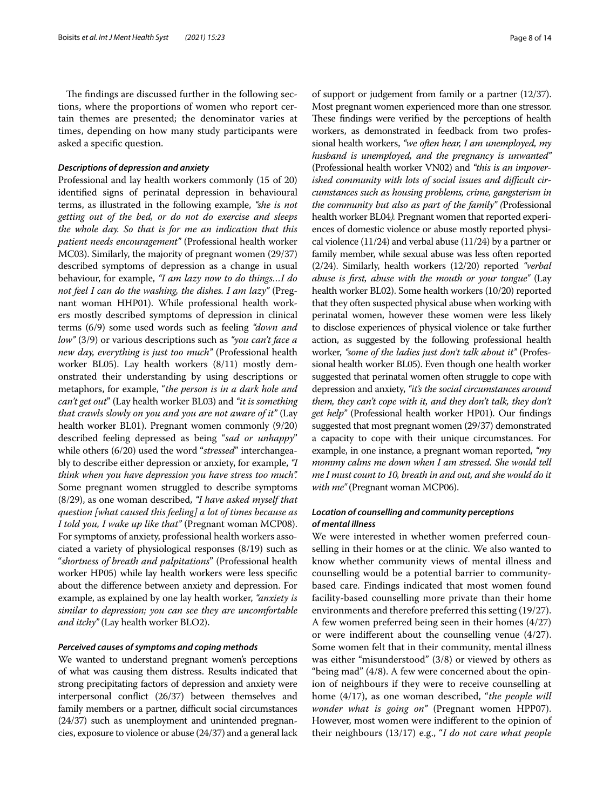The findings are discussed further in the following sections, where the proportions of women who report certain themes are presented; the denominator varies at times, depending on how many study participants were asked a specifc question.

### *Descriptions of depression and anxiety*

Professional and lay health workers commonly (15 of 20) identifed signs of perinatal depression in behavioural terms, as illustrated in the following example, *"she is not getting out of the bed, or do not do exercise and sleeps the whole day. So that is for me an indication that this patient needs encouragement"* (Professional health worker MC03). Similarly, the majority of pregnant women (29/37) described symptoms of depression as a change in usual behaviour, for example, *"I am lazy now to do things…I do not feel I can do the washing, the dishes. I am lazy"* (Pregnant woman HHP01). While professional health workers mostly described symptoms of depression in clinical terms (6/9) some used words such as feeling *"down and low"* (3/9) or various descriptions such as *"you can't face a new day, everything is just too much"* (Professional health worker BL05). Lay health workers (8/11) mostly demonstrated their understanding by using descriptions or metaphors, for example, "*the person is in a dark hole and can't get out*" (Lay health worker BL03) and *"it is something that crawls slowly on you and you are not aware of it"* (Lay health worker BL01). Pregnant women commonly (9/20) described feeling depressed as being "*sad or unhappy*" while others (6/20) used the word "*stressed*" interchangeably to describe either depression or anxiety, for example, *"I think when you have depression you have stress too much".* Some pregnant women struggled to describe symptoms (8/29), as one woman described, *"I have asked myself that question [what caused this feeling] a lot of times because as I told you, I wake up like that"* (Pregnant woman MCP08). For symptoms of anxiety, professional health workers associated a variety of physiological responses (8/19) such as "*shortness of breath and palpitations*" (Professional health worker HP05) while lay health workers were less specifc about the diference between anxiety and depression. For example, as explained by one lay health worker, *"anxiety is similar to depression; you can see they are uncomfortable and itchy"* (Lay health worker BLO2).

## *Perceived causes of symptoms and coping methods*

We wanted to understand pregnant women's perceptions of what was causing them distress. Results indicated that strong precipitating factors of depression and anxiety were interpersonal confict (26/37) between themselves and family members or a partner, difficult social circumstances (24/37) such as unemployment and unintended pregnancies, exposure to violence or abuse (24/37) and a general lack of support or judgement from family or a partner (12/37). Most pregnant women experienced more than one stressor. These findings were verified by the perceptions of health workers, as demonstrated in feedback from two professional health workers, *"we often hear, I am unemployed, my husband is unemployed, and the pregnancy is unwanted"* (Professional health worker VN02) and *"this is an impover*ished community with lots of social issues and difficult cir*cumstances such as housing problems, crime, gangsterism in the community but also as part of the family" (*Professional health worker BL04*).* Pregnant women that reported experiences of domestic violence or abuse mostly reported physical violence (11/24) and verbal abuse (11/24) by a partner or family member, while sexual abuse was less often reported (2/24). Similarly, health workers (12/20) reported *"verbal abuse is frst, abuse with the mouth or your tongue"* (Lay health worker BL02). Some health workers (10/20) reported that they often suspected physical abuse when working with perinatal women, however these women were less likely to disclose experiences of physical violence or take further action, as suggested by the following professional health worker, *"some of the ladies just don't talk about it"* (Professional health worker BL05). Even though one health worker suggested that perinatal women often struggle to cope with depression and anxiety, *"it's the social circumstances around them, they can't cope with it, and they don't talk, they don't get help"* (Professional health worker HP01). Our fndings suggested that most pregnant women (29/37) demonstrated a capacity to cope with their unique circumstances. For example, in one instance, a pregnant woman reported, *"my mommy calms me down when I am stressed. She would tell me I must count to 10, breath in and out, and she would do it with me"* (Pregnant woman MCP06).

## *Location of counselling and community perceptions of mental illness*

We were interested in whether women preferred counselling in their homes or at the clinic. We also wanted to know whether community views of mental illness and counselling would be a potential barrier to communitybased care. Findings indicated that most women found facility-based counselling more private than their home environments and therefore preferred this setting (19/27). A few women preferred being seen in their homes (4/27) or were indiferent about the counselling venue (4/27). Some women felt that in their community, mental illness was either "misunderstood" (3/8) or viewed by others as "being mad" (4/8). A few were concerned about the opinion of neighbours if they were to receive counselling at home (4/17), as one woman described, "*the people will wonder what is going on"* (Pregnant women HPP07). However, most women were indiferent to the opinion of their neighbours (13/17) e.g., "*I do not care what people*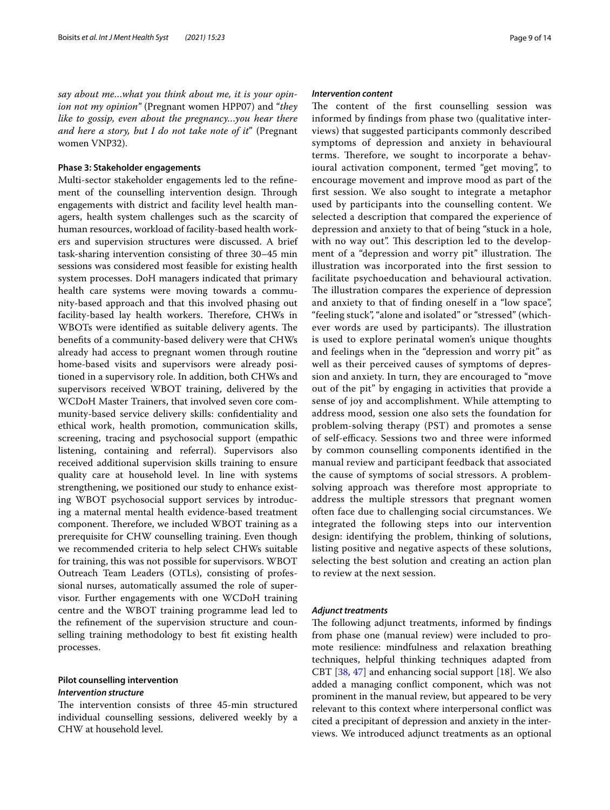*say about me…what you think about me, it is your opinion not my opinion"* (Pregnant women HPP07) and "*they like to gossip, even about the pregnancy…you hear there and here a story, but I do not take note of it*" (Pregnant women VNP32).

## **Phase 3: Stakeholder engagements**

Multi-sector stakeholder engagements led to the refnement of the counselling intervention design. Through engagements with district and facility level health managers, health system challenges such as the scarcity of human resources, workload of facility-based health workers and supervision structures were discussed. A brief task-sharing intervention consisting of three 30–45 min sessions was considered most feasible for existing health system processes. DoH managers indicated that primary health care systems were moving towards a community-based approach and that this involved phasing out facility-based lay health workers. Therefore, CHWs in WBOTs were identified as suitable delivery agents. The benefts of a community-based delivery were that CHWs already had access to pregnant women through routine home-based visits and supervisors were already positioned in a supervisory role. In addition, both CHWs and supervisors received WBOT training, delivered by the WCDoH Master Trainers, that involved seven core community-based service delivery skills: confdentiality and ethical work, health promotion, communication skills, screening, tracing and psychosocial support (empathic listening, containing and referral). Supervisors also received additional supervision skills training to ensure quality care at household level. In line with systems strengthening, we positioned our study to enhance existing WBOT psychosocial support services by introducing a maternal mental health evidence-based treatment component. Therefore, we included WBOT training as a prerequisite for CHW counselling training. Even though we recommended criteria to help select CHWs suitable for training, this was not possible for supervisors. WBOT Outreach Team Leaders (OTLs), consisting of professional nurses, automatically assumed the role of supervisor. Further engagements with one WCDoH training centre and the WBOT training programme lead led to the refnement of the supervision structure and counselling training methodology to best ft existing health processes.

## **Pilot counselling intervention**

## *Intervention structure*

The intervention consists of three 45-min structured individual counselling sessions, delivered weekly by a CHW at household level.

#### *Intervention content*

The content of the first counselling session was informed by fndings from phase two (qualitative interviews) that suggested participants commonly described symptoms of depression and anxiety in behavioural terms. Therefore, we sought to incorporate a behavioural activation component, termed "get moving", to encourage movement and improve mood as part of the frst session. We also sought to integrate a metaphor used by participants into the counselling content. We selected a description that compared the experience of depression and anxiety to that of being "stuck in a hole, with no way out". This description led to the development of a "depression and worry pit" illustration. The illustration was incorporated into the frst session to facilitate psychoeducation and behavioural activation. The illustration compares the experience of depression and anxiety to that of fnding oneself in a "low space", "feeling stuck", "alone and isolated" or "stressed" (whichever words are used by participants). The illustration is used to explore perinatal women's unique thoughts and feelings when in the "depression and worry pit" as well as their perceived causes of symptoms of depression and anxiety. In turn, they are encouraged to "move out of the pit" by engaging in activities that provide a sense of joy and accomplishment. While attempting to address mood, session one also sets the foundation for problem-solving therapy (PST) and promotes a sense of self-efficacy. Sessions two and three were informed by common counselling components identifed in the manual review and participant feedback that associated the cause of symptoms of social stressors. A problemsolving approach was therefore most appropriate to address the multiple stressors that pregnant women often face due to challenging social circumstances. We integrated the following steps into our intervention design: identifying the problem, thinking of solutions, listing positive and negative aspects of these solutions, selecting the best solution and creating an action plan to review at the next session.

### *Adjunct treatments*

The following adjunct treatments, informed by findings from phase one (manual review) were included to promote resilience: mindfulness and relaxation breathing techniques, helpful thinking techniques adapted from CBT [\[38,](#page-13-14) [47\]](#page-13-15) and enhancing social support [18]. We also added a managing confict component, which was not prominent in the manual review, but appeared to be very relevant to this context where interpersonal confict was cited a precipitant of depression and anxiety in the interviews. We introduced adjunct treatments as an optional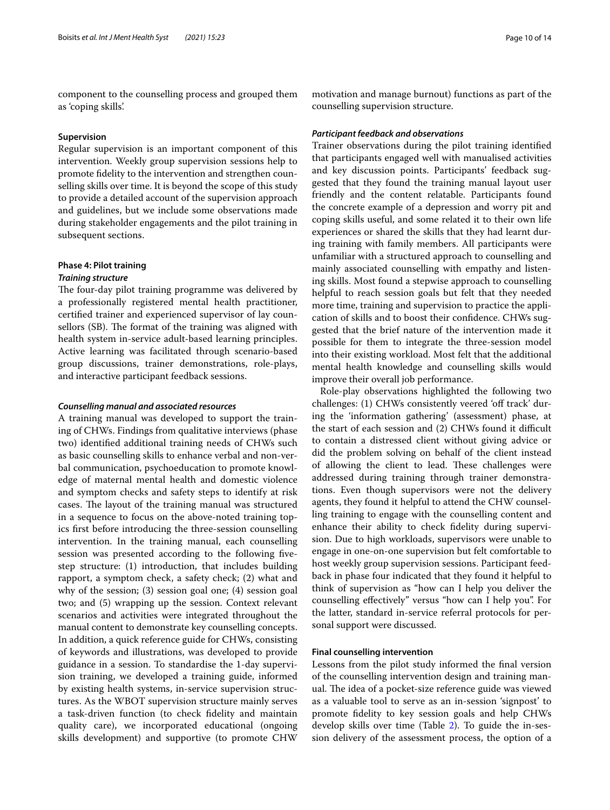component to the counselling process and grouped them as 'coping skills'.

## **Supervision**

Regular supervision is an important component of this intervention. Weekly group supervision sessions help to promote fdelity to the intervention and strengthen counselling skills over time. It is beyond the scope of this study to provide a detailed account of the supervision approach and guidelines, but we include some observations made during stakeholder engagements and the pilot training in subsequent sections.

## **Phase 4: Pilot training**

## *Training structure*

The four-day pilot training programme was delivered by a professionally registered mental health practitioner, certifed trainer and experienced supervisor of lay counsellors (SB). The format of the training was aligned with health system in-service adult-based learning principles. Active learning was facilitated through scenario-based group discussions, trainer demonstrations, role-plays, and interactive participant feedback sessions.

#### *Counselling manual and associated resources*

A training manual was developed to support the training of CHWs. Findings from qualitative interviews (phase two) identifed additional training needs of CHWs such as basic counselling skills to enhance verbal and non-verbal communication, psychoeducation to promote knowledge of maternal mental health and domestic violence and symptom checks and safety steps to identify at risk cases. The layout of the training manual was structured in a sequence to focus on the above-noted training topics frst before introducing the three-session counselling intervention. In the training manual, each counselling session was presented according to the following fvestep structure: (1) introduction, that includes building rapport, a symptom check, a safety check; (2) what and why of the session; (3) session goal one; (4) session goal two; and (5) wrapping up the session. Context relevant scenarios and activities were integrated throughout the manual content to demonstrate key counselling concepts. In addition, a quick reference guide for CHWs, consisting of keywords and illustrations, was developed to provide guidance in a session. To standardise the 1-day supervision training, we developed a training guide, informed by existing health systems, in-service supervision structures. As the WBOT supervision structure mainly serves a task-driven function (to check fdelity and maintain quality care), we incorporated educational (ongoing skills development) and supportive (to promote CHW

motivation and manage burnout) functions as part of the counselling supervision structure.

#### *Participant feedback and observations*

Trainer observations during the pilot training identifed that participants engaged well with manualised activities and key discussion points. Participants' feedback suggested that they found the training manual layout user friendly and the content relatable. Participants found the concrete example of a depression and worry pit and coping skills useful, and some related it to their own life experiences or shared the skills that they had learnt during training with family members. All participants were unfamiliar with a structured approach to counselling and mainly associated counselling with empathy and listening skills. Most found a stepwise approach to counselling helpful to reach session goals but felt that they needed more time, training and supervision to practice the application of skills and to boost their confdence. CHWs suggested that the brief nature of the intervention made it possible for them to integrate the three-session model into their existing workload. Most felt that the additional mental health knowledge and counselling skills would improve their overall job performance.

Role-play observations highlighted the following two challenges: (1) CHWs consistently veered 'off track' during the 'information gathering' (assessment) phase, at the start of each session and (2) CHWs found it difficult to contain a distressed client without giving advice or did the problem solving on behalf of the client instead of allowing the client to lead. These challenges were addressed during training through trainer demonstrations. Even though supervisors were not the delivery agents, they found it helpful to attend the CHW counselling training to engage with the counselling content and enhance their ability to check fdelity during supervision. Due to high workloads, supervisors were unable to engage in one-on-one supervision but felt comfortable to host weekly group supervision sessions. Participant feedback in phase four indicated that they found it helpful to think of supervision as "how can I help you deliver the counselling efectively" versus "how can I help you". For the latter, standard in-service referral protocols for personal support were discussed.

#### **Final counselling intervention**

Lessons from the pilot study informed the fnal version of the counselling intervention design and training manual. The idea of a pocket-size reference guide was viewed as a valuable tool to serve as an in-session 'signpost' to promote fdelity to key session goals and help CHWs develop skills over time (Table [2](#page-10-0)). To guide the in-session delivery of the assessment process, the option of a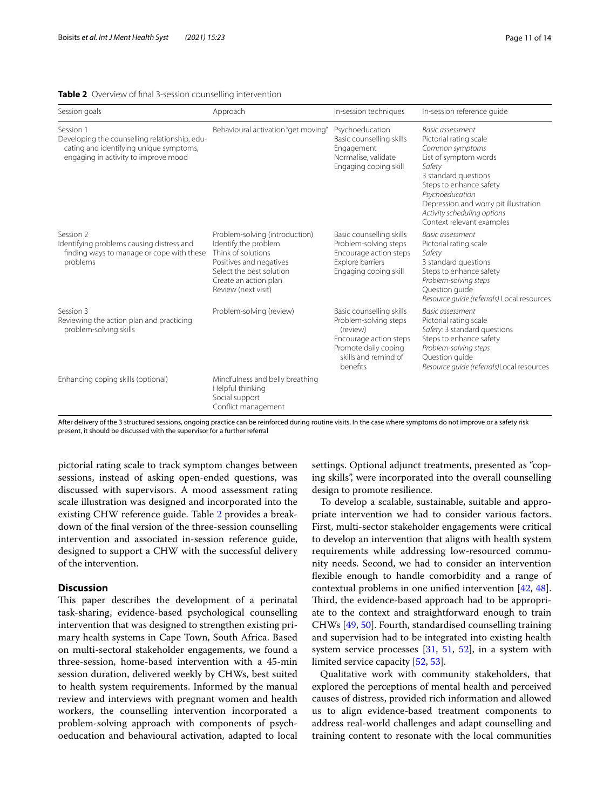#### <span id="page-10-0"></span>**Table 2** Overview of fnal 3-session counselling intervention

| Session goals                                                                                                                                 | Approach                                                                                                                                                                            | In-session techniques                                                                                                                               | In-session reference quide                                                                                                                                                                                                                                                  |
|-----------------------------------------------------------------------------------------------------------------------------------------------|-------------------------------------------------------------------------------------------------------------------------------------------------------------------------------------|-----------------------------------------------------------------------------------------------------------------------------------------------------|-----------------------------------------------------------------------------------------------------------------------------------------------------------------------------------------------------------------------------------------------------------------------------|
| Session 1<br>Developing the counselling relationship, edu-<br>cating and identifying unique symptoms,<br>engaging in activity to improve mood | Behavioural activation "get moving"                                                                                                                                                 | Psychoeducation<br>Basic counselling skills<br>Engagement<br>Normalise, validate<br>Engaging coping skill                                           | Basic assessment<br>Pictorial rating scale<br>Common symptoms<br>List of symptom words<br>Safety<br>3 standard questions<br>Steps to enhance safety<br>Psychoeducation<br>Depression and worry pit illustration<br>Activity scheduling options<br>Context relevant examples |
| Session 2<br>Identifying problems causing distress and<br>finding ways to manage or cope with these<br>problems                               | Problem-solving (introduction)<br>Identify the problem<br>Think of solutions<br>Positives and negatives<br>Select the best solution<br>Create an action plan<br>Review (next visit) | Basic counselling skills<br>Problem-solving steps<br>Encourage action steps<br>Explore barriers<br>Engaging coping skill                            | Basic assessment<br>Pictorial rating scale<br>Safety<br>3 standard questions<br>Steps to enhance safety<br>Problem-solving steps<br>Question quide<br>Resource guide (referrals) Local resources                                                                            |
| Session 3<br>Reviewing the action plan and practicing<br>problem-solving skills                                                               | Problem-solving (review)                                                                                                                                                            | Basic counselling skills<br>Problem-solving steps<br>(review)<br>Encourage action steps<br>Promote daily coping<br>skills and remind of<br>benefits | <b>Basic assessment</b><br>Pictorial rating scale<br>Safety: 3 standard questions<br>Steps to enhance safety<br>Problem-solving steps<br>Question quide<br>Resource quide (referrals)Local resources                                                                        |
| Enhancing coping skills (optional)                                                                                                            | Mindfulness and belly breathing<br>Helpful thinking<br>Social support<br>Conflict management                                                                                        |                                                                                                                                                     |                                                                                                                                                                                                                                                                             |

After delivery of the 3 structured sessions, ongoing practice can be reinforced during routine visits. In the case where symptoms do not improve or a safety risk present, it should be discussed with the supervisor for a further referral

pictorial rating scale to track symptom changes between sessions, instead of asking open-ended questions, was discussed with supervisors. A mood assessment rating scale illustration was designed and incorporated into the existing CHW reference guide. Table [2](#page-10-0) provides a breakdown of the fnal version of the three-session counselling intervention and associated in-session reference guide, designed to support a CHW with the successful delivery of the intervention.

## **Discussion**

This paper describes the development of a perinatal task-sharing, evidence-based psychological counselling intervention that was designed to strengthen existing primary health systems in Cape Town, South Africa. Based on multi-sectoral stakeholder engagements, we found a three-session, home-based intervention with a 45-min session duration, delivered weekly by CHWs, best suited to health system requirements. Informed by the manual review and interviews with pregnant women and health workers, the counselling intervention incorporated a problem-solving approach with components of psychoeducation and behavioural activation, adapted to local settings. Optional adjunct treatments, presented as "coping skills", were incorporated into the overall counselling design to promote resilience.

To develop a scalable, sustainable, suitable and appropriate intervention we had to consider various factors. First, multi-sector stakeholder engagements were critical to develop an intervention that aligns with health system requirements while addressing low-resourced community needs. Second, we had to consider an intervention fexible enough to handle comorbidity and a range of contextual problems in one unifed intervention [\[42](#page-13-9), [48](#page-13-16)]. Third, the evidence-based approach had to be appropriate to the context and straightforward enough to train CHWs [\[49,](#page-13-17) [50](#page-13-18)]. Fourth, standardised counselling training and supervision had to be integrated into existing health system service processes  $[31, 51, 52]$  $[31, 51, 52]$  $[31, 51, 52]$  $[31, 51, 52]$  $[31, 51, 52]$  $[31, 51, 52]$ , in a system with limited service capacity [[52,](#page-13-20) [53](#page-13-21)].

Qualitative work with community stakeholders, that explored the perceptions of mental health and perceived causes of distress, provided rich information and allowed us to align evidence-based treatment components to address real-world challenges and adapt counselling and training content to resonate with the local communities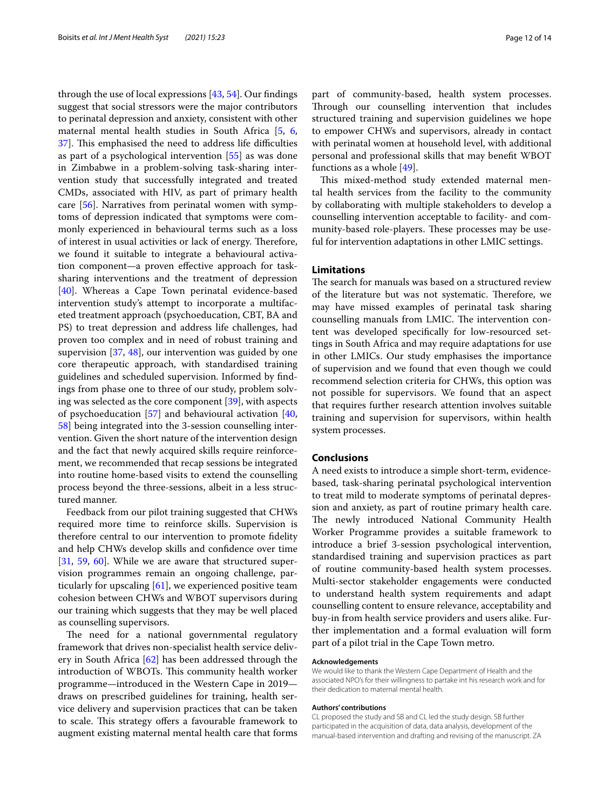through the use of local expressions [\[43,](#page-13-10) [54](#page-13-22)]. Our fndings suggest that social stressors were the major contributors to perinatal depression and anxiety, consistent with other maternal mental health studies in South Africa [\[5](#page-12-3), [6](#page-12-4), [37\]](#page-13-8). This emphasised the need to address life difficulties as part of a psychological intervention [\[55](#page-13-23)] as was done in Zimbabwe in a problem-solving task-sharing intervention study that successfully integrated and treated CMDs, associated with HIV, as part of primary health care [[56](#page-13-24)]. Narratives from perinatal women with symptoms of depression indicated that symptoms were commonly experienced in behavioural terms such as a loss of interest in usual activities or lack of energy. Therefore, we found it suitable to integrate a behavioural activation component—a proven efective approach for tasksharing interventions and the treatment of depression [[40\]](#page-13-25). Whereas a Cape Town perinatal evidence-based intervention study's attempt to incorporate a multifaceted treatment approach (psychoeducation, CBT, BA and PS) to treat depression and address life challenges, had proven too complex and in need of robust training and supervision [\[37](#page-13-8), [48\]](#page-13-16), our intervention was guided by one core therapeutic approach, with standardised training guidelines and scheduled supervision. Informed by fndings from phase one to three of our study, problem solving was selected as the core component [[39](#page-13-26)], with aspects of psychoeducation [\[57](#page-13-27)] and behavioural activation [\[40](#page-13-25), [58\]](#page-13-28) being integrated into the 3-session counselling intervention. Given the short nature of the intervention design and the fact that newly acquired skills require reinforcement, we recommended that recap sessions be integrated into routine home-based visits to extend the counselling process beyond the three-sessions, albeit in a less structured manner.

Feedback from our pilot training suggested that CHWs required more time to reinforce skills. Supervision is therefore central to our intervention to promote fdelity and help CHWs develop skills and confdence over time [[31,](#page-13-2) [59](#page-13-29), [60](#page-13-30)]. While we are aware that structured supervision programmes remain an ongoing challenge, particularly for upscaling [[61\]](#page-13-31), we experienced positive team cohesion between CHWs and WBOT supervisors during our training which suggests that they may be well placed as counselling supervisors.

The need for a national governmental regulatory framework that drives non-specialist health service delivery in South Africa [\[62](#page-13-32)] has been addressed through the introduction of WBOTs. This community health worker programme—introduced in the Western Cape in 2019 draws on prescribed guidelines for training, health service delivery and supervision practices that can be taken to scale. This strategy offers a favourable framework to augment existing maternal mental health care that forms part of community-based, health system processes. Through our counselling intervention that includes structured training and supervision guidelines we hope to empower CHWs and supervisors, already in contact with perinatal women at household level, with additional personal and professional skills that may beneft WBOT functions as a whole [\[49\]](#page-13-17).

This mixed-method study extended maternal mental health services from the facility to the community by collaborating with multiple stakeholders to develop a counselling intervention acceptable to facility- and community-based role-players. These processes may be useful for intervention adaptations in other LMIC settings.

## **Limitations**

The search for manuals was based on a structured review of the literature but was not systematic. Therefore, we may have missed examples of perinatal task sharing counselling manuals from LMIC. The intervention content was developed specifcally for low-resourced settings in South Africa and may require adaptations for use in other LMICs. Our study emphasises the importance of supervision and we found that even though we could recommend selection criteria for CHWs, this option was not possible for supervisors. We found that an aspect that requires further research attention involves suitable training and supervision for supervisors, within health system processes.

## **Conclusions**

A need exists to introduce a simple short-term, evidencebased, task-sharing perinatal psychological intervention to treat mild to moderate symptoms of perinatal depression and anxiety, as part of routine primary health care. The newly introduced National Community Health Worker Programme provides a suitable framework to introduce a brief 3-session psychological intervention, standardised training and supervision practices as part of routine community-based health system processes. Multi-sector stakeholder engagements were conducted to understand health system requirements and adapt counselling content to ensure relevance, acceptability and buy-in from health service providers and users alike. Further implementation and a formal evaluation will form part of a pilot trial in the Cape Town metro.

#### **Acknowledgements**

We would like to thank the Western Cape Department of Health and the associated NPO's for their willingness to partake int his research work and for their dedication to maternal mental health.

#### **Authors' contributions**

CL proposed the study and SB and CL led the study design. SB further participated in the acquisition of data, data analysis, development of the manual-based intervention and drafting and revising of the manuscript. ZA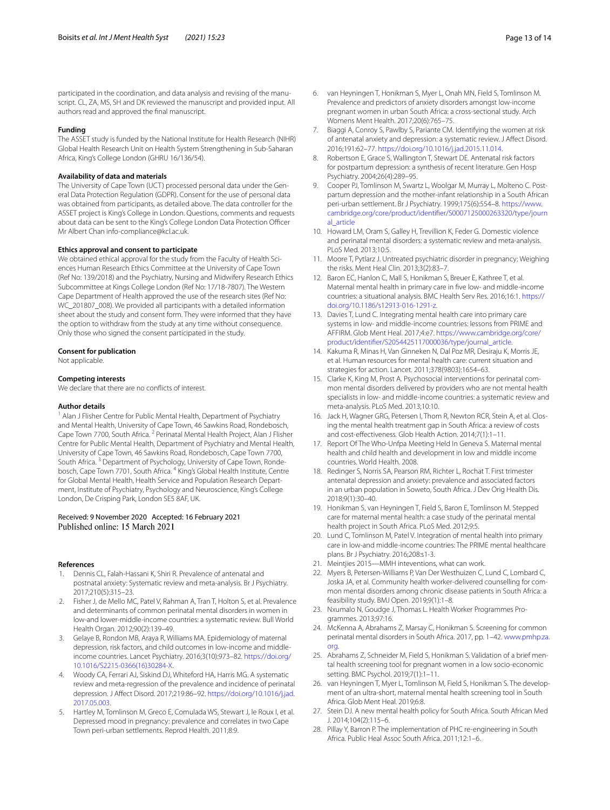#### **Funding**

The ASSET study is funded by the National Institute for Health Research (NIHR) Global Health Research Unit on Health System Strengthening in Sub-Saharan Africa, King's College London (GHRU 16/136/54).

#### **Availability of data and materials**

The University of Cape Town (UCT) processed personal data under the General Data Protection Regulation (GDPR). Consent for the use of personal data was obtained from participants, as detailed above. The data controller for the ASSET project is King's College in London. Questions, comments and requests about data can be sent to the King's College London Data Protection Officer Mr Albert Chan info-compliance@kcl.ac.uk.

#### **Ethics approval and consent to participate**

We obtained ethical approval for the study from the Faculty of Health Sciences Human Research Ethics Committee at the University of Cape Town (Ref No: 139/2018) and the Psychiatry, Nursing and Midwifery Research Ethics Subcommittee at Kings College London (Ref No: 17/18-7807). The Western Cape Department of Health approved the use of the research sites (Ref No: WC\_201807\_008). We provided all participants with a detailed information sheet about the study and consent form. They were informed that they have the option to withdraw from the study at any time without consequence. Only those who signed the consent participated in the study.

#### **Consent for publication**

Not applicable.

#### **Competing interests**

We declare that there are no conflicts of interest.

#### **Author details**

<sup>1</sup> Alan J Flisher Centre for Public Mental Health, Department of Psychiatry and Mental Health, University of Cape Town, 46 Sawkins Road, Rondebosch, Cape Town 7700, South Africa. <sup>2</sup> Perinatal Mental Health Project, Alan J Flisher Centre for Public Mental Health, Department of Psychiatry and Mental Health, University of Cape Town, 46 Sawkins Road, Rondebosch, Cape Town 7700, South Africa. 3 Department of Psychology, University of Cape Town, Rondebosch, Cape Town 7701, South Africa. <sup>4</sup> King's Global Health Institute, Centre for Global Mental Health, Health Service and Population Research Department, Institute of Psychiatry, Psychology and Neuroscience, King's College London, De Crisping Park, London SE5 8AF, UK.

# Received: 9 November 2020 Accepted: 16 February 2021

#### **References**

- <span id="page-12-0"></span>1. Dennis CL, Falah-Hassani K, Shiri R. Prevalence of antenatal and postnatal anxiety: Systematic review and meta-analysis. Br J Psychiatry. 2017;210(5):315–23.
- <span id="page-12-5"></span>2. Fisher J, de Mello MC, Patel V, Rahman A, Tran T, Holton S, et al. Prevalence and determinants of common perinatal mental disorders in women in low-and lower-middle-income countries: a systematic review. Bull World Health Organ. 2012;90(2):139–49.
- <span id="page-12-2"></span>3. Gelaye B, Rondon MB, Araya R, Williams MA. Epidemiology of maternal depression, risk factors, and child outcomes in low-income and middleincome countries. Lancet Psychiatry. 2016;3(10):973–82. [https://doi.org/](https://doi.org/10.1016/S2215-0366(16)30284-X) [10.1016/S2215-0366\(16\)30284-X](https://doi.org/10.1016/S2215-0366(16)30284-X).
- <span id="page-12-1"></span>4. Woody CA, Ferrari AJ, Siskind DJ, Whiteford HA, Harris MG. A systematic review and meta-regression of the prevalence and incidence of perinatal depression. J Afect Disord. 2017;219:86–92. [https://doi.org/10.1016/j.jad.](https://doi.org/10.1016/j.jad.2017.05.003) [2017.05.003](https://doi.org/10.1016/j.jad.2017.05.003).
- <span id="page-12-3"></span>5. Hartley M, Tomlinson M, Greco E, Comulada WS, Stewart J, le Roux I, et al. Depressed mood in pregnancy: prevalence and correlates in two Cape Town peri-urban settlements. Reprod Health. 2011;8:9.
- <span id="page-12-6"></span><span id="page-12-4"></span>Womens Ment Health. 2017;20(6):765–75. 7. Biaggi A, Conroy S, Pawlby S, Pariante CM. Identifying the women at risk of antenatal anxiety and depression: a systematic review. J Afect Disord. 2016;191:62–77. [https://doi.org/10.1016/j.jad.2015.11.014.](https://doi.org/10.1016/j.jad.2015.11.014)
- <span id="page-12-7"></span>8. Robertson E, Grace S, Wallington T, Stewart DE. Antenatal risk factors for postpartum depression: a synthesis of recent literature. Gen Hosp Psychiatry. 2004;26(4):289–95.
- <span id="page-12-8"></span>9. Cooper PJ, Tomlinson M, Swartz L, Woolgar M, Murray L, Molteno C. Postpartum depression and the mother-infant relationship in a South African peri-urban settlement. Br J Psychiatry. 1999;175(6):554–8. [https://www.](https://www.cambridge.org/core/product/identifier/S0007125000263320/type/journal_article) [cambridge.org/core/product/identifer/S0007125000263320/type/journ](https://www.cambridge.org/core/product/identifier/S0007125000263320/type/journal_article) [al\\_article](https://www.cambridge.org/core/product/identifier/S0007125000263320/type/journal_article)
- 10. Howard LM, Oram S, Galley H, Trevillion K, Feder G. Domestic violence and perinatal mental disorders: a systematic review and meta-analysis. PLoS Med. 2013;10:5.
- <span id="page-12-9"></span>11. Moore T, Pytlarz J. Untreated psychiatric disorder in pregnancy: Weighing the risks. Ment Heal Clin. 2013;3(2):83–7.
- <span id="page-12-10"></span>12. Baron EC, Hanlon C, Mall S, Honikman S, Breuer E, Kathree T, et al. Maternal mental health in primary care in fve low- and middle-income countries: a situational analysis. BMC Health Serv Res. 2016;16:1. [https://](https://doi.org/10.1186/s12913-016-1291-z) [doi.org/10.1186/s12913-016-1291-z.](https://doi.org/10.1186/s12913-016-1291-z)
- <span id="page-12-11"></span>13. Davies T, Lund C. Integrating mental health care into primary care systems in low- and middle-income countries: lessons from PRIME and AFFIRM. Glob Ment Heal. 2017;4:e7. [https://www.cambridge.org/core/](https://www.cambridge.org/core/product/identifier/S2054425117000036/type/journal_article) [product/identifer/S2054425117000036/type/journal\\_article](https://www.cambridge.org/core/product/identifier/S2054425117000036/type/journal_article).
- <span id="page-12-12"></span>14. Kakuma R, Minas H, Van Ginneken N, Dal Poz MR, Desiraju K, Morris JE, et al. Human resources for mental health care: current situation and strategies for action. Lancet. 2011;378(9803):1654–63.
- <span id="page-12-21"></span>15. Clarke K, King M, Prost A. Psychosocial interventions for perinatal common mental disorders delivered by providers who are not mental health specialists in low- and middle-income countries: a systematic review and meta-analysis. PLoS Med. 2013;10:10.
- 16. Jack H, Wagner GRG, Petersen I, Thom R, Newton RCR, Stein A, et al. Closing the mental health treatment gap in South Africa: a review of costs and cost-efectiveness. Glob Health Action. 2014;7(1):1–11.
- <span id="page-12-13"></span>17. Report Of The Who-Unfpa Meeting Held In Geneva S. Maternal mental health and child health and development in low and middle income countries. World Health. 2008.
- <span id="page-12-14"></span>18. Redinger S, Norris SA, Pearson RM, Richter L, Rochat T. First trimester antenatal depression and anxiety: prevalence and associated factors in an urban population in Soweto, South Africa. J Dev Orig Health Dis. 2018;9(1):30–40.
- <span id="page-12-22"></span>19. Honikman S, van Heyningen T, Field S, Baron E, Tomlinson M. Stepped care for maternal mental health: a case study of the perinatal mental health project in South Africa. PLoS Med. 2012;9:5.
- 20. Lund C, Tomlinson M, Patel V. Integration of mental health into primary care in low-and middle-income countries: The PRIME mental healthcare plans. Br J Psychiatry. 2016;208:s1-3.
- <span id="page-12-15"></span>21. Meintjies 2015—MMH inteventions, what can work.
- <span id="page-12-16"></span>22. Myers B, Petersen-Williams P, Van Der Westhuizen C, Lund C, Lombard C, Joska JA, et al. Community health worker-delivered counselling for common mental disorders among chronic disease patients in South Africa: a feasibility study. BMJ Open. 2019;9(1):1–8.
- <span id="page-12-17"></span>23. Nxumalo N, Goudge J, Thomas L. Health Worker Programmes Programmes. 2013;97:16.
- <span id="page-12-18"></span>24. McKenna A, Abrahams Z, Marsay C, Honikman S. Screening for common perinatal mental disorders in South Africa. 2017, pp. 1–42. [www.pmhp.za.](http://www.pmhp.za.org) [org.](http://www.pmhp.za.org)
- 25. Abrahams Z, Schneider M, Field S, Honikman S. Validation of a brief mental health screening tool for pregnant women in a low socio-economic setting. BMC Psychol. 2019;7(1):1–11.
- 26. van Heyningen T, Myer L, Tomlinson M, Field S, Honikman S. The development of an ultra-short, maternal mental health screening tool in South Africa. Glob Ment Heal. 2019;6:8.
- <span id="page-12-19"></span>27. Stein DJ. A new mental health policy for South Africa. South African Med J. 2014;104(2):115–6.
- <span id="page-12-20"></span>28. Pillay Y, Barron P. The implementation of PHC re-engineering in South Africa. Public Heal Assoc South Africa. 2011;12:1–6.